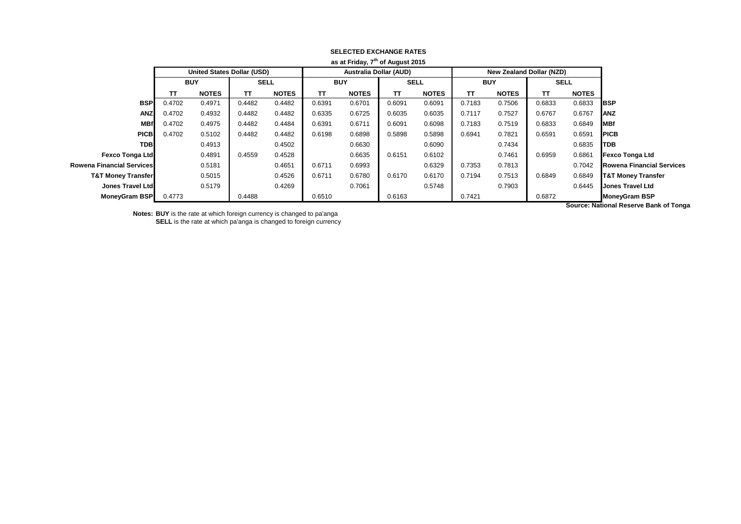|                               |            |                                   |             |              |                               | as at Friday, 7" of August 2015 |             |              |            |                                 |             |              |                                  |
|-------------------------------|------------|-----------------------------------|-------------|--------------|-------------------------------|---------------------------------|-------------|--------------|------------|---------------------------------|-------------|--------------|----------------------------------|
|                               |            | <b>United States Dollar (USD)</b> |             |              | <b>Australia Dollar (AUD)</b> |                                 |             |              |            | <b>New Zealand Dollar (NZD)</b> |             |              |                                  |
|                               | <b>BUY</b> |                                   | <b>SELL</b> |              | <b>BUY</b>                    |                                 | <b>SELL</b> |              | <b>BUY</b> |                                 | <b>SELL</b> |              |                                  |
|                               | тτ         | <b>NOTES</b>                      | TΤ          | <b>NOTES</b> | TΤ                            | <b>NOTES</b>                    | <b>TT</b>   | <b>NOTES</b> | <b>TT</b>  | <b>NOTES</b>                    | π           | <b>NOTES</b> |                                  |
| <b>BSP</b>                    | 0.4702     | 0.4971                            | 0.4482      | 0.4482       | 0.6391                        | 0.6701                          | 0.6091      | 0.6091       | 0.7183     | 0.7506                          | 0.6833      | 0.6833       | <b>IBSP</b>                      |
| <b>ANZ</b>                    | 0.4702     | 0.4932                            | 0.4482      | 0.4482       | 0.6335                        | 0.6725                          | 0.6035      | 0.6035       | 0.7117     | 0.7527                          | 0.6767      | 0.6767       | ANZ                              |
| <b>MBf</b>                    | 0.4702     | 0.4975                            | 0.4482      | 0.4484       | 0.6391                        | 0.6711                          | 0.6091      | 0.6098       | 0.7183     | 0.7519                          | 0.6833      | 0.6849       | <b>IMBf</b>                      |
| <b>PICB</b>                   | 0.4702     | 0.5102                            | 0.4482      | 0.4482       | 0.6198                        | 0.6898                          | 0.5898      | 0.5898       | 0.6941     | 0.7821                          | 0.6591      | 0.6591       | <b>IPICB</b>                     |
| <b>TDB</b>                    |            | 0.4913                            |             | 0.4502       |                               | 0.6630                          |             | 0.6090       |            | 0.7434                          |             | 0.6835       | <b>TDB</b>                       |
| <b>Fexco Tonga Ltd</b>        |            | 0.4891                            | 0.4559      | 0.4528       |                               | 0.6635                          | 0.6151      | 0.6102       |            | 0.7461                          | 0.6959      | 0.6861       | <b>Fexco Tonga Ltd</b>           |
| Rowena Financial Services     |            | 0.5181                            |             | 0.4651       | 0.6711                        | 0.6993                          |             | 0.6329       | 0.7353     | 0.7813                          |             | 0.7042       | <b>Rowena Financial Services</b> |
| <b>T&amp;T Money Transfer</b> |            | 0.5015                            |             | 0.4526       | 0.6711                        | 0.6780                          | 0.6170      | 0.6170       | 0.7194     | 0.7513                          | 0.6849      | 0.6849       | <b>T&amp;T Money Transfer</b>    |
| <b>Jones Travel Ltd</b>       |            | 0.5179                            |             | 0.4269       |                               | 0.7061                          |             | 0.5748       |            | 0.7903                          |             | 0.6445       | <b>Jones Travel Ltd</b>          |
| <b>MoneyGram BSP</b>          | 0.4773     |                                   | 0.4488      |              | 0.6510                        |                                 | 0.6163      |              | 0.7421     |                                 | 0.6872      |              | <b>MoneyGram BSP</b>             |
|                               |            |                                   |             |              |                               |                                 |             |              |            |                                 |             |              | .                                |

## **SELECTED EXCHANGE RATES as at Friday, 7th of August 2015**

**Notes: BUY** is the rate at which foreign currency is changed to pa'anga **SELL** is the rate at which pa'anga is changed to foreign currency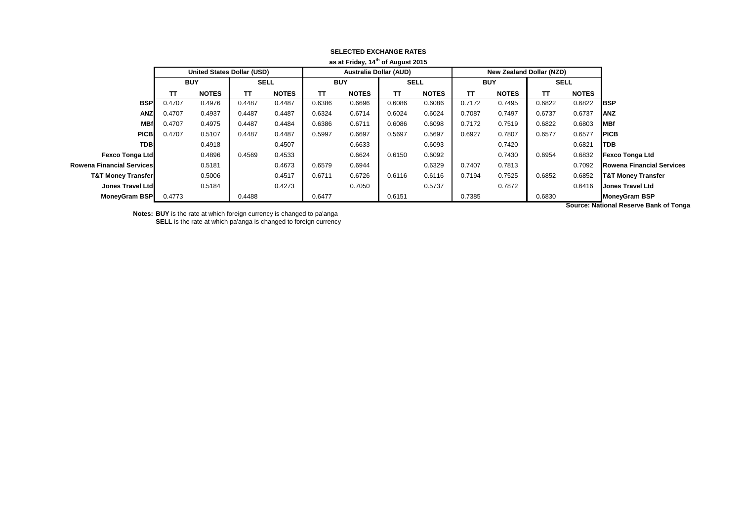|                                  |            |                                   |             |              |                               | as at Friday, 14 or August 2015 |             |              |            |                                 |             |              |                                  |
|----------------------------------|------------|-----------------------------------|-------------|--------------|-------------------------------|---------------------------------|-------------|--------------|------------|---------------------------------|-------------|--------------|----------------------------------|
|                                  |            | <b>United States Dollar (USD)</b> |             |              | <b>Australia Dollar (AUD)</b> |                                 |             |              |            | <b>New Zealand Dollar (NZD)</b> |             |              |                                  |
|                                  | <b>BUY</b> |                                   | <b>SELL</b> |              | <b>BUY</b>                    |                                 | <b>SELL</b> |              | <b>BUY</b> |                                 | <b>SELL</b> |              |                                  |
|                                  | ΤТ         | <b>NOTES</b>                      | TΤ          | <b>NOTES</b> | TΤ                            | <b>NOTES</b>                    | TΤ          | <b>NOTES</b> | TΤ         | <b>NOTES</b>                    | π           | <b>NOTES</b> |                                  |
| <b>BSP</b>                       | 0.4707     | 0.4976                            | 0.4487      | 0.4487       | 0.6386                        | 0.6696                          | 0.6086      | 0.6086       | 0.7172     | 0.7495                          | 0.6822      | 0.6822       | <b>IBSP</b>                      |
| <b>ANZ</b>                       | 0.4707     | 0.4937                            | 0.4487      | 0.4487       | 0.6324                        | 0.6714                          | 0.6024      | 0.6024       | 0.7087     | 0.7497                          | 0.6737      | 0.6737       | <b>ANZ</b>                       |
| <b>MBf</b>                       | 0.4707     | 0.4975                            | 0.4487      | 0.4484       | 0.6386                        | 0.6711                          | 0.6086      | 0.6098       | 0.7172     | 0.7519                          | 0.6822      | 0.6803       | <b>IMBf</b>                      |
| <b>PICB</b>                      | 0.4707     | 0.5107                            | 0.4487      | 0.4487       | 0.5997                        | 0.6697                          | 0.5697      | 0.5697       | 0.6927     | 0.7807                          | 0.6577      | 0.6577       | <b>IPICB</b>                     |
| <b>TDB</b>                       |            | 0.4918                            |             | 0.4507       |                               | 0.6633                          |             | 0.6093       |            | 0.7420                          |             | 0.6821       | <b>I</b> TDB                     |
| <b>Fexco Tonga Ltd</b>           |            | 0.4896                            | 0.4569      | 0.4533       |                               | 0.6624                          | 0.6150      | 0.6092       |            | 0.7430                          | 0.6954      | 0.6832       | <b>Fexco Tonga Ltd</b>           |
| <b>Rowena Financial Services</b> |            | 0.5181                            |             | 0.4673       | 0.6579                        | 0.6944                          |             | 0.6329       | 0.7407     | 0.7813                          |             | 0.7092       | <b>Rowena Financial Services</b> |
| <b>T&amp;T Money Transfer</b>    |            | 0.5006                            |             | 0.4517       | 0.6711                        | 0.6726                          | 0.6116      | 0.6116       | 0.7194     | 0.7525                          | 0.6852      | 0.6852       | <b>T&amp;T Money Transfer</b>    |
| <b>Jones Travel Ltd</b>          |            | 0.5184                            |             | 0.4273       |                               | 0.7050                          |             | 0.5737       |            | 0.7872                          |             | 0.6416       | <b>Jones Travel Ltd</b>          |
| <b>MoneyGram BSP</b>             | 0.4773     |                                   | 0.4488      |              | 0.6477                        |                                 | 0.6151      |              | 0.7385     |                                 | 0.6830      |              | <b>MoneyGram BSP</b>             |
|                                  |            |                                   |             |              |                               |                                 |             |              |            |                                 |             |              | .                                |

## **SELECTED EXCHANGE RATES as at Friday, 14th of August 2015**

**Notes: BUY** is the rate at which foreign currency is changed to pa'anga **SELL** is the rate at which pa'anga is changed to foreign currency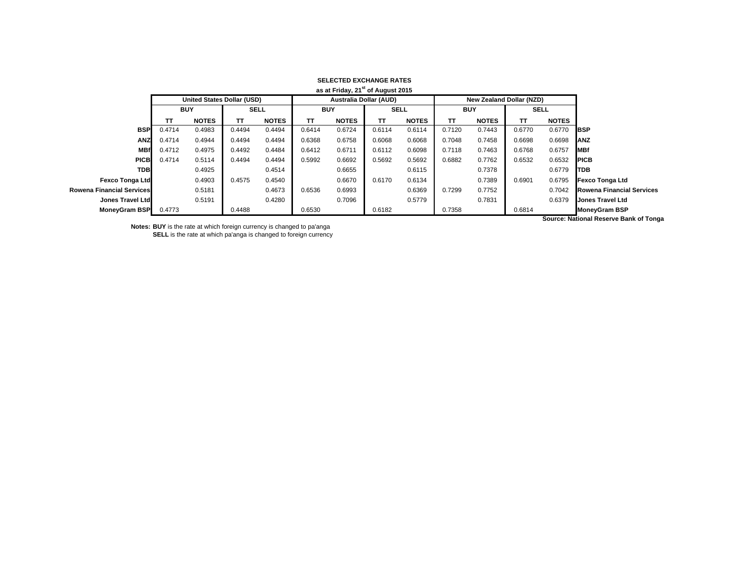| as at Friday, 21 <sup>st</sup> of August 2015 |            |                            |             |              |                               |              |             |              |            |                          |             |              |                                       |
|-----------------------------------------------|------------|----------------------------|-------------|--------------|-------------------------------|--------------|-------------|--------------|------------|--------------------------|-------------|--------------|---------------------------------------|
|                                               |            | United States Dollar (USD) |             |              | <b>Australia Dollar (AUD)</b> |              |             |              |            | New Zealand Dollar (NZD) |             |              |                                       |
|                                               | <b>BUY</b> |                            | <b>SELL</b> |              | <b>BUY</b>                    |              | <b>SELL</b> |              | <b>BUY</b> |                          | <b>SELL</b> |              |                                       |
|                                               | тτ         | <b>NOTES</b>               | ТΤ          | <b>NOTES</b> | TΤ                            | <b>NOTES</b> | TΤ          | <b>NOTES</b> | TΤ         | <b>NOTES</b>             | TΤ          | <b>NOTES</b> |                                       |
| <b>BSP</b>                                    | 0.4714     | 0.4983                     | 0.4494      | 0.4494       | 0.6414                        | 0.6724       | 0.6114      | 0.6114       | 0.7120     | 0.7443                   | 0.6770      | 0.6770       | <b>IBSP</b>                           |
| <b>ANZ</b>                                    | 0.4714     | 0.4944                     | 0.4494      | 0.4494       | 0.6368                        | 0.6758       | 0.6068      | 0.6068       | 0.7048     | 0.7458                   | 0.6698      | 0.6698       | <b>ANZ</b>                            |
| <b>MBf</b>                                    | 0.4712     | 0.4975                     | 0.4492      | 0.4484       | 0.6412                        | 0.6711       | 0.6112      | 0.6098       | 0.7118     | 0.7463                   | 0.6768      | 0.6757       | <b>MBf</b>                            |
| <b>PICB</b>                                   | 0.4714     | 0.5114                     | 0.4494      | 0.4494       | 0.5992                        | 0.6692       | 0.5692      | 0.5692       | 0.6882     | 0.7762                   | 0.6532      | 0.6532       | <b>IPICB</b>                          |
| <b>TDB</b>                                    |            | 0.4925                     |             | 0.4514       |                               | 0.6655       |             | 0.6115       |            | 0.7378                   |             | 0.6779       | <b>TDB</b>                            |
| <b>Fexco Tonga Ltd</b>                        |            | 0.4903                     | 0.4575      | 0.4540       |                               | 0.6670       | 0.6170      | 0.6134       |            | 0.7389                   | 0.6901      | 0.6795       | <b>Fexco Tonga Ltd</b>                |
| <b>Rowena Financial Services</b>              |            | 0.5181                     |             | 0.4673       | 0.6536                        | 0.6993       |             | 0.6369       | 0.7299     | 0.7752                   |             | 0.7042       | <b>Rowena Financial Services</b>      |
| Jones Travel Ltd                              |            | 0.5191                     |             | 0.4280       |                               | 0.7096       |             | 0.5779       |            | 0.7831                   |             | 0.6379       | <b>Jones Travel Ltd</b>               |
| <b>MoneyGram BSP</b>                          | 0.4773     |                            | 0.4488      |              | 0.6530                        |              | 0.6182      |              | 0.7358     |                          | 0.6814      |              | <b>MoneyGram BSP</b>                  |
|                                               |            |                            |             |              |                               |              |             |              |            |                          |             |              | Course: Notional Deserve Dank of Tone |

## **SELECTED EXCHANGE RATES**

**Notes: BUY** is the rate at which foreign currency is changed to pa'anga **SELL** is the rate at which pa'anga is changed to foreign currency